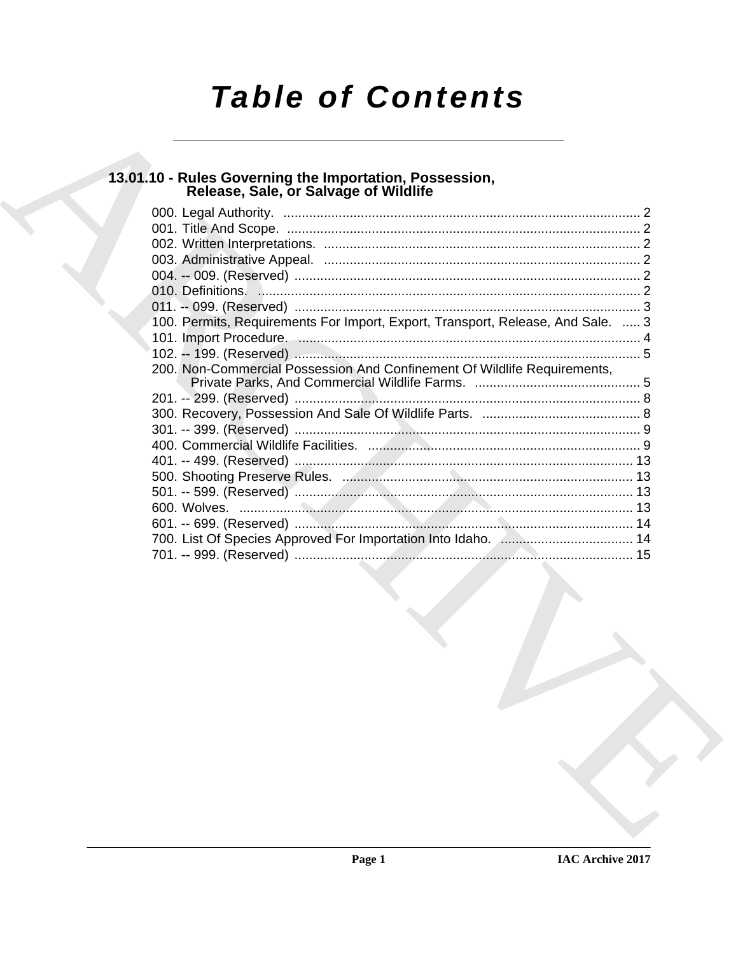# **Table of Contents**

## 13.01.10 - Rules Governing the Importation, Possession,<br>Release, Sale, or Salvage of Wildlife

| 100. Permits, Requirements For Import, Export, Transport, Release, And Sale.  3 |  |
|---------------------------------------------------------------------------------|--|
|                                                                                 |  |
|                                                                                 |  |
| 200. Non-Commercial Possession And Confinement Of Wildlife Requirements,        |  |
|                                                                                 |  |
|                                                                                 |  |
|                                                                                 |  |
|                                                                                 |  |
|                                                                                 |  |
|                                                                                 |  |
|                                                                                 |  |
|                                                                                 |  |
|                                                                                 |  |
|                                                                                 |  |
| the contract of the contract of the                                             |  |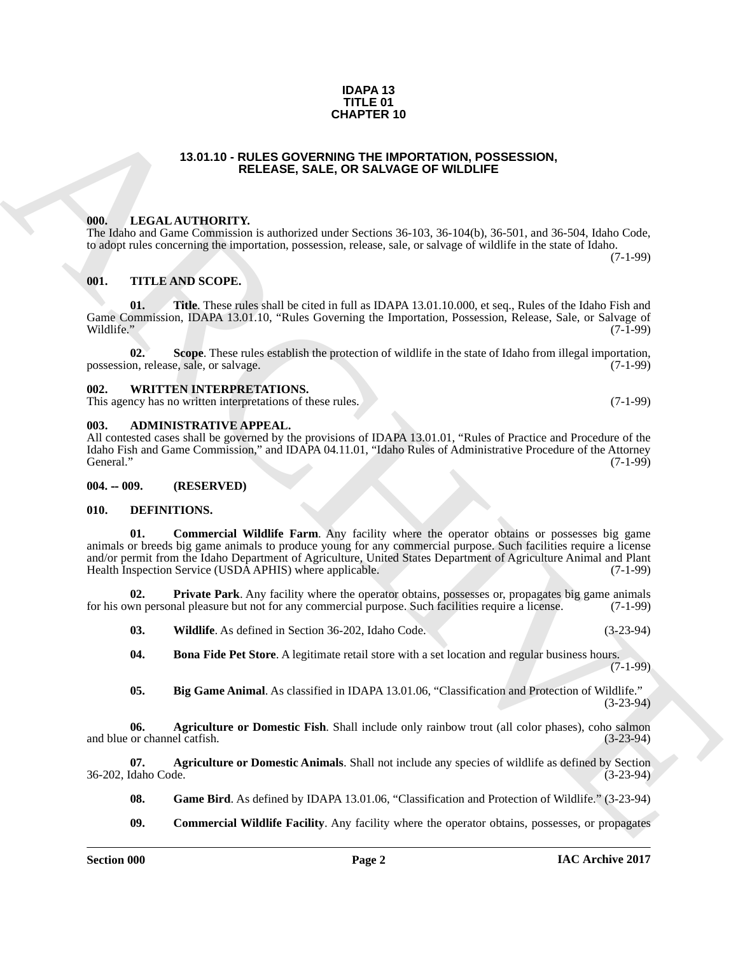#### **IDAPA 13 TITLE 01 CHAPTER 10**

### **13.01.10 - RULES GOVERNING THE IMPORTATION, POSSESSION, RELEASE, SALE, OR SALVAGE OF WILDLIFE**

#### <span id="page-1-1"></span><span id="page-1-0"></span>**000. LEGAL AUTHORITY.**

The Idaho and Game Commission is authorized under Sections 36-103, 36-104(b), 36-501, and 36-504, Idaho Code, to adopt rules concerning the importation, possession, release, sale, or salvage of wildlife in the state of Idaho. (7-1-99)

#### <span id="page-1-2"></span>**001. TITLE AND SCOPE.**

**Title**. These rules shall be cited in full as IDAPA 13.01.10.000, et seq., Rules of the Idaho Fish and Game Commission, IDAPA 13.01.10, "Rules Governing the Importation, Possession, Release, Sale, or Salvage of Wildlife." (7-1-99) Wildlife." (7-1-99)

**02. Scope**. These rules establish the protection of wildlife in the state of Idaho from illegal importation, possession, release, sale, or salvage. (7-1-99)

#### <span id="page-1-3"></span>**002. WRITTEN INTERPRETATIONS.**

This agency has no written interpretations of these rules. (7-1-99)

#### <span id="page-1-4"></span>**003. ADMINISTRATIVE APPEAL.**

All contested cases shall be governed by the provisions of IDAPA 13.01.01, "Rules of Practice and Procedure of the Idaho Fish and Game Commission," and IDAPA 04.11.01, "Idaho Rules of Administrative Procedure of the Attorney General." (7-1-99)

#### <span id="page-1-5"></span>**004. -- 009. (RESERVED)**

#### <span id="page-1-13"></span><span id="page-1-7"></span><span id="page-1-6"></span>**010. DEFINITIONS.**

**CHAPTER 10**<br> **CHAPTER 10**<br> **CHAPTER 10**<br> **CHAPTER 10**<br> **CHAPTER 10**<br> **CHAPTER 10**<br> **CHAPTER 10**<br> **CHAPTER 10**<br> **CHAPTER 10**<br> **CHAPTER 10**<br> **CHAPTER 10**<br> **CHAPTER 10**<br> **CHAPTER 10**<br> **CHAPTER 10**<br> **CHAPTER 10**<br> **CHAPTER 10 01. Commercial Wildlife Farm**. Any facility where the operator obtains or possesses big game animals or breeds big game animals to produce young for any commercial purpose. Such facilities require a license and/or permit from the Idaho Department of Agriculture, United States Department of Agriculture Animal and Plant Health Inspection Service (USDA APHIS) where applicable. (7-1-99)

**02. Private Park**. Any facility where the operator obtains, possesses or, propagates big game animals for his own personal pleasure but not for any commercial purpose. Such facilities require a license. (7-1-99)

- <span id="page-1-16"></span><span id="page-1-15"></span>**03.** Wildlife. As defined in Section 36-202, Idaho Code. (3-23-94)
- <span id="page-1-11"></span>**04.** Bona Fide Pet Store. A legitimate retail store with a set location and regular business hours.  $(7-1-99)$
- <span id="page-1-10"></span><span id="page-1-9"></span>**05. Big Game Animal**. As classified in IDAPA 13.01.06, "Classification and Protection of Wildlife." (3-23-94)

**06. Agriculture or Domestic Fish**. Shall include only rainbow trout (all color phases), coho salmon or channel catfish. (3-23-94) and blue or channel catfish.

**07. Agriculture or Domestic Animals**. Shall not include any species of wildlife as defined by Section (daho Code. (3-23-94) 36-202, Idaho Code.

- <span id="page-1-14"></span><span id="page-1-8"></span>**08. Game Bird**. As defined by IDAPA 13.01.06, "Classification and Protection of Wildlife." (3-23-94)
- <span id="page-1-12"></span>**09.** Commercial Wildlife Facility. Any facility where the operator obtains, possesses, or propagates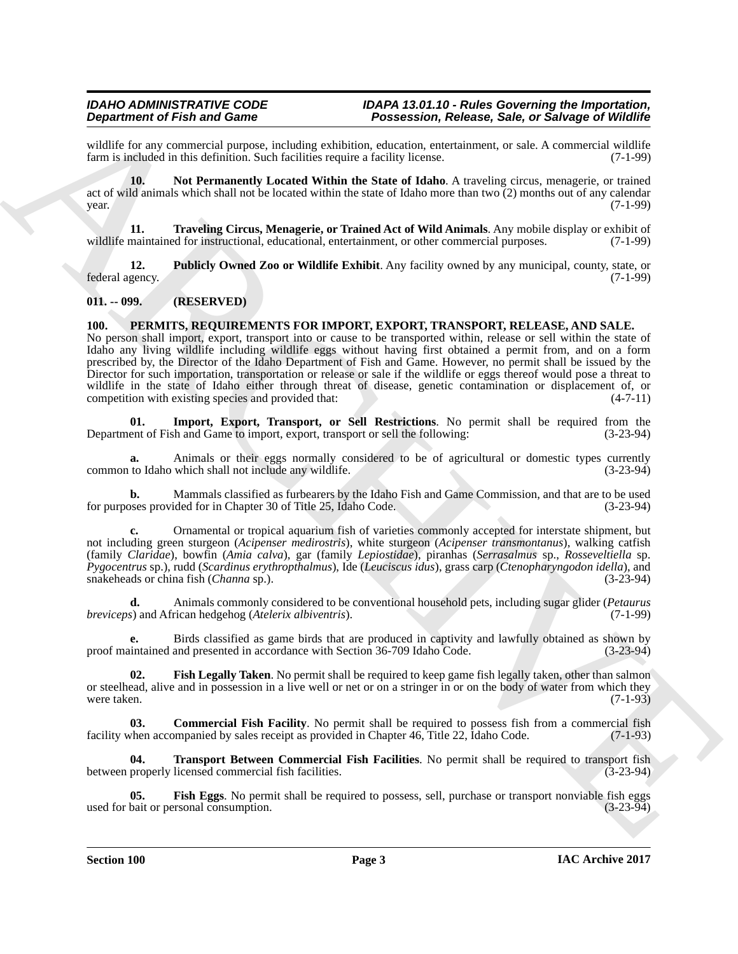wildlife for any commercial purpose, including exhibition, education, entertainment, or sale. A commercial wildlife farm is included in this definition. Such facilities require a facility license. (7-1-99) farm is included in this definition. Such facilities require a facility license.

<span id="page-2-2"></span>**10. Not Permanently Located Within the State of Idaho**. A traveling circus, menagerie, or trained act of wild animals which shall not be located within the state of Idaho more than two (2) months out of any calendar  $\mu$  year. (7-1-99)

<span id="page-2-4"></span>**11. Traveling Circus, Menagerie, or Trained Act of Wild Animals**. Any mobile display or exhibit of wildlife maintained for instructional, educational, entertainment, or other commercial purposes. (7-1-99)

<span id="page-2-3"></span>**12. Publicly Owned Zoo or Wildlife Exhibit**. Any facility owned by any municipal, county, state, or gency. (7-1-99) federal agency.

### <span id="page-2-0"></span>**011. -- 099. (RESERVED)**

#### <span id="page-2-5"></span><span id="page-2-1"></span>**100. PERMITS, REQUIREMENTS FOR IMPORT, EXPORT, TRANSPORT, RELEASE, AND SALE.**

**Experimente of Finding Constraints of Finding School (2008)**<br> **Constraint of Finding School (2008)**<br> **Constraint of Finding School (2008)**<br> **Constraint of Finding School (2008)**<br> **Constraint of Finding School (2008)**<br> **A** No person shall import, export, transport into or cause to be transported within, release or sell within the state of Idaho any living wildlife including wildlife eggs without having first obtained a permit from, and on a form prescribed by, the Director of the Idaho Department of Fish and Game. However, no permit shall be issued by the Director for such importation, transportation or release or sale if the wildlife or eggs thereof would pose a threat to wildlife in the state of Idaho either through threat of disease, genetic contamination or displacement of, or competition with existing species and provided that: (4-7-11) competition with existing species and provided that:

<span id="page-2-9"></span>**01. Import, Export, Transport, or Sell Restrictions**. No permit shall be required from the Department of Fish and Game to import, export, transport or sell the following: (3-23-94)

**a.** Animals or their eggs normally considered to be of agricultural or domestic types currently to Idaho which shall not include any wildlife.  $(3-23-94)$ common to Idaho which shall not include any wildlife.

**b.** Mammals classified as furbearers by the Idaho Fish and Game Commission, and that are to be used oses provided for in Chapter 30 of Title 25. Idaho Code. (3-23-94) for purposes provided for in Chapter 30 of Title 25, Idaho Code.

**c.** Ornamental or tropical aquarium fish of varieties commonly accepted for interstate shipment, but not including green sturgeon (*Acipenser medirostris*), white sturgeon (*Acipenser transmontanus*), walking catfish (family *Claridae*), bowfin (*Amia calva*), gar (family *Lepiostidae*), piranhas (*Serrasalmus* sp., *Rosseveltiella* sp. *Pygocentrus* sp.), rudd (*Scardinus erythropthalmus*), Ide (*Leuciscus idus*), grass carp (*Ctenopharyngodon idella*), and snakeheads or china fish (*Channa* sp.). (3-23-94)

**d.** Animals commonly considered to be conventional household pets, including sugar glider (*Petaurus breviceps*) and African hedgehog (*Atelerix albiventris*).

**e.** Birds classified as game birds that are produced in captivity and lawfully obtained as shown by proof maintained and presented in accordance with Section 36-709 Idaho Code. (3-23-94)

<span id="page-2-8"></span>**02. Fish Legally Taken**. No permit shall be required to keep game fish legally taken, other than salmon or steelhead, alive and in possession in a live well or net or on a stringer in or on the body of water from which they were taken.  $(7-1-93)$ 

<span id="page-2-6"></span>**03. Commercial Fish Facility**. No permit shall be required to possess fish from a commercial fish when accompanied by sales receipt as provided in Chapter 46, Title 22, Idaho Code. (7-1-93) facility when accompanied by sales receipt as provided in Chapter 46, Title 22, Idaho Code.

<span id="page-2-10"></span>**Transport Between Commercial Fish Facilities**. No permit shall be required to transport fish licensed commercial fish facilities. (3-23-94) between properly licensed commercial fish facilities.

<span id="page-2-7"></span>**05. Fish Eggs**. No permit shall be required to possess, sell, purchase or transport nonviable fish eggs bait or personal consumption. (3-23-94) used for bait or personal consumption.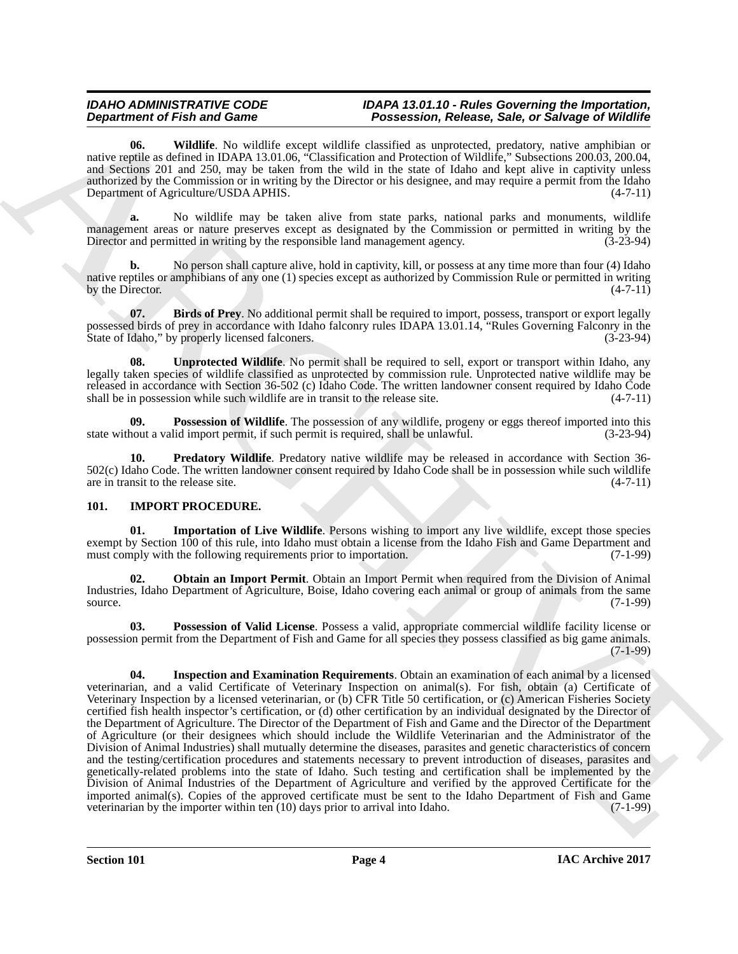<span id="page-3-10"></span>**06. Wildlife**. No wildlife except wildlife classified as unprotected, predatory, native amphibian or native reptile as defined in IDAPA 13.01.06, "Classification and Protection of Wildlife," Subsections 200.03, 200.04, and Sections 201 and 250, may be taken from the wild in the state of Idaho and kept alive in captivity unless authorized by the Commission or in writing by the Director or his designee, and may require a permit from the Idaho Department of Agriculture/USDA APHIS. (4-7-11)

**a.** No wildlife may be taken alive from state parks, national parks and monuments, wildlife management areas or nature preserves except as designated by the Commission or permitted in writing by the Director and permitted in writing by the responsible land management agency. (3-23-94)

**b.** No person shall capture alive, hold in captivity, kill, or possess at any time more than four (4) Idaho native reptiles or amphibians of any one (1) species except as authorized by Commission Rule or permitted in writing<br>by the Director. (4-7-11) by the Director.

<span id="page-3-6"></span>**07.** Birds of Prey. No additional permit shall be required to import, possess, transport or export legally possessed birds of prey in accordance with Idaho falconry rules IDAPA 13.01.14, "Rules Governing Falconry in the State of Idaho," by properly licensed falconers. (3-23-94) State of Idaho," by properly licensed falconers.

<span id="page-3-9"></span>**08. Unprotected Wildlife**. No permit shall be required to sell, export or transport within Idaho, any legally taken species of wildlife classified as unprotected by commission rule. Unprotected native wildlife may be released in accordance with Section 36-502 (c) Idaho Code. The written landowner consent required by Idaho Code shall be in possession while such wildlife are in transit to the release site.  $(4-7-11)$ shall be in possession while such wildlife are in transit to the release site.

<span id="page-3-7"></span>**09. Possession of Wildlife**. The possession of any wildlife, progeny or eggs thereof imported into this state without a valid import permit, if such permit is required, shall be unlawful. (3-23-94)

<span id="page-3-8"></span>**10. Predatory Wildlife**. Predatory native wildlife may be released in accordance with Section 36- 502(c) Idaho Code. The written landowner consent required by Idaho Code shall be in possession while such wildlife are in transit to the release site.  $(4-7-11)$ 

### <span id="page-3-1"></span><span id="page-3-0"></span>**101. IMPORT PROCEDURE.**

<span id="page-3-2"></span>**01. Importation of Live Wildlife**. Persons wishing to import any live wildlife, except those species exempt by Section 100 of this rule, into Idaho must obtain a license from the Idaho Fish and Game Department and must comply with the following requirements prior to importation. (7-1-99) must comply with the following requirements prior to importation.

<span id="page-3-4"></span>**02. Obtain an Import Permit**. Obtain an Import Permit when required from the Division of Animal Industries, Idaho Department of Agriculture, Boise, Idaho covering each animal or group of animals from the same source. (7-1-99)

<span id="page-3-5"></span><span id="page-3-3"></span>**03. Possession of Valid License**. Possess a valid, appropriate commercial wildlife facility license or possession permit from the Department of Fish and Game for all species they possess classified as big game animals. (7-1-99)

**Department of Find and Constraints.** The bases with a summitted procedure of Solen Constraints and Constraints and Constraints and Constraints and Constraints are even in the solen Constraints and Constraints are even in **04. Inspection and Examination Requirements**. Obtain an examination of each animal by a licensed veterinarian, and a valid Certificate of Veterinary Inspection on animal(s). For fish, obtain (a) Certificate of Veterinary Inspection by a licensed veterinarian, or (b) CFR Title 50 certification, or (c) American Fisheries Society certified fish health inspector's certification, or (d) other certification by an individual designated by the Director of the Department of Agriculture. The Director of the Department of Fish and Game and the Director of the Department of Agriculture (or their designees which should include the Wildlife Veterinarian and the Administrator of the Division of Animal Industries) shall mutually determine the diseases, parasites and genetic characteristics of concern and the testing/certification procedures and statements necessary to prevent introduction of diseases, parasites and genetically-related problems into the state of Idaho. Such testing and certification shall be implemented by the Division of Animal Industries of the Department of Agriculture and verified by the approved Certificate for the imported animal(s). Copies of the approved certificate must be sent to the Idaho Department of Fish and Game veterinarian by the importer within ten (10) days prior to arrival into Idaho. (7-1-99)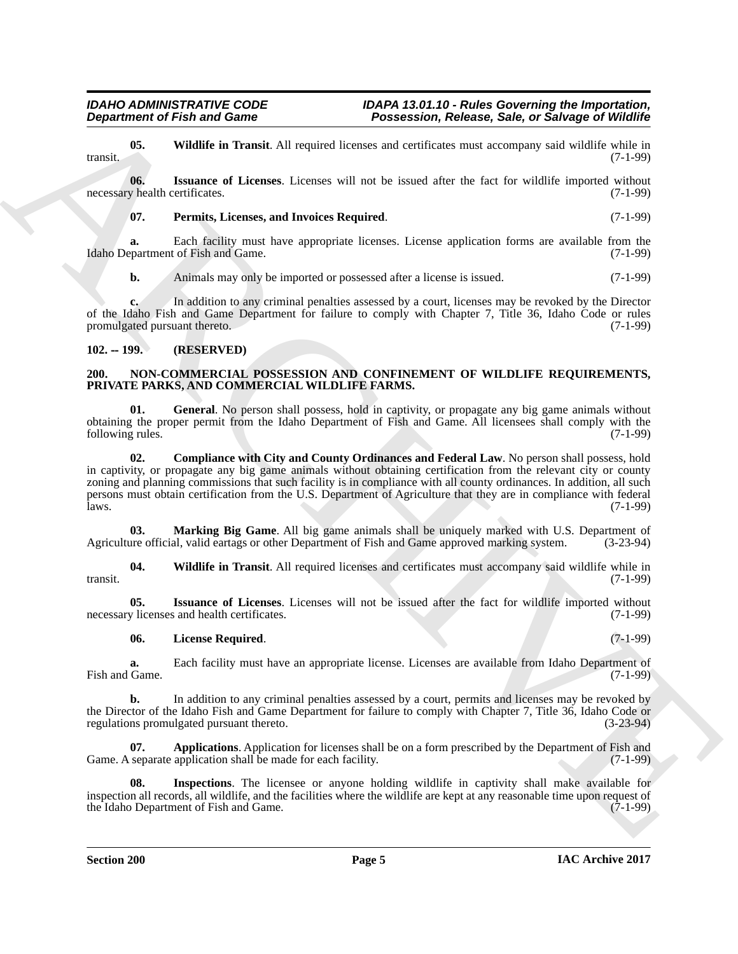<span id="page-4-4"></span>**05. Wildlife in Transit**. All required licenses and certificates must accompany said wildlife while in (7-1-99) transit.  $(7-1-99)$ 

*Department of Fish and Game Possession, Release, Sale, or Salvage of Wildlife*

**06. Issuance of Licenses**. Licenses will not be issued after the fact for wildlife imported without necessary health certificates. (7-1-99)

#### <span id="page-4-3"></span><span id="page-4-2"></span>**07. Permits, Licenses, and Invoices Required**. (7-1-99)

**a.** Each facility must have appropriate licenses. License application forms are available from the Idaho Department of Fish and Game. (7-1-99)

**b.** Animals may only be imported or possessed after a license is issued. (7-1-99)

**c.** In addition to any criminal penalties assessed by a court, licenses may be revoked by the Director of the Idaho Fish and Game Department for failure to comply with Chapter 7, Title 36, Idaho Code or rules promulgated pursuant thereto. (7-1-99)

#### <span id="page-4-5"></span><span id="page-4-0"></span>**102. -- 199. (RESERVED)**

#### <span id="page-4-1"></span>**200. NON-COMMERCIAL POSSESSION AND CONFINEMENT OF WILDLIFE REQUIREMENTS, PRIVATE PARKS, AND COMMERCIAL WILDLIFE FARMS.**

<span id="page-4-8"></span><span id="page-4-7"></span>**01. General**. No person shall possess, hold in captivity, or propagate any big game animals without obtaining the proper permit from the Idaho Department of Fish and Game. All licensees shall comply with the following rules. (7-1-99)

**Department of Fish and Game<br>
18. Waldle is the same of the same of the same of the same of the same of the same of the same of the same of the same of the same of the same of the same of the same of the same of the same 02. Compliance with City and County Ordinances and Federal Law**. No person shall possess, hold in captivity, or propagate any big game animals without obtaining certification from the relevant city or county zoning and planning commissions that such facility is in compliance with all county ordinances. In addition, all such persons must obtain certification from the U.S. Department of Agriculture that they are in compliance with federal  $l$ aws.  $(7-1-99)$ 

<span id="page-4-12"></span>**03. Marking Big Game**. All big game animals shall be uniquely marked with U.S. Department of Agriculture official, valid eartags or other Department of Fish and Game approved marking system. (3-23-94)

<span id="page-4-13"></span>**04. Wildlife in Transit**. All required licenses and certificates must accompany said wildlife while in transit. (7-1-99)

**05.** Issuance of Licenses. Licenses will not be issued after the fact for wildlife imported without y licenses and health certificates. (7-1-99) necessary licenses and health certificates.

#### <span id="page-4-11"></span><span id="page-4-10"></span>**06. License Required**. (7-1-99)

**a.** Each facility must have an appropriate license. Licenses are available from Idaho Department of Game. (7-1-99) Fish and Game.

**b.** In addition to any criminal penalties assessed by a court, permits and licenses may be revoked by the Director of the Idaho Fish and Game Department for failure to comply with Chapter 7, Title 36, Idaho Code or regulations promulgated pursuant thereto. (3-23-94) regulations promulgated pursuant thereto.

<span id="page-4-6"></span>**07. Applications**. Application for licenses shall be on a form prescribed by the Department of Fish and Game. A separate application shall be made for each facility. (7-1-99)

<span id="page-4-9"></span>**08. Inspections**. The licensee or anyone holding wildlife in captivity shall make available for inspection all records, all wildlife, and the facilities where the wildlife are kept at any reasonable time upon request of the Idaho Department of Fish and Game. the Idaho Department of Fish and Game.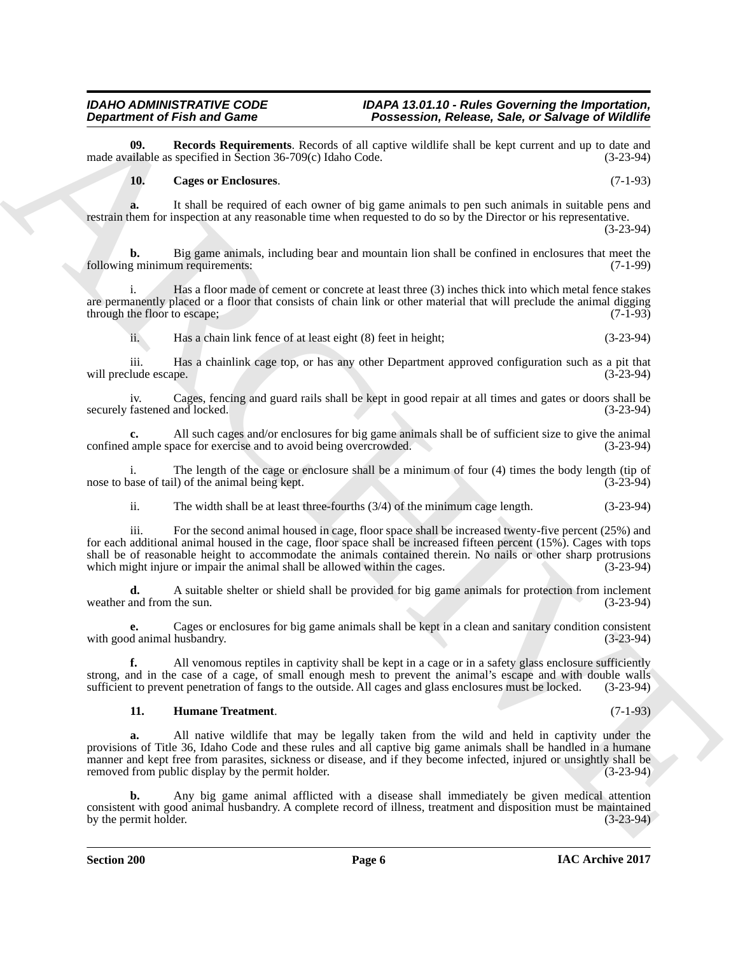**09.** Records Requirements. Records of all captive wildlife shall be kept current and up to date and ulable as specified in Section 36-709(c) Idaho Code. (3-23-94) made available as specified in Section  $36-709(c)$  Idaho Code.

#### <span id="page-5-2"></span><span id="page-5-0"></span>**10. Cages or Enclosures**. (7-1-93)

**a.** It shall be required of each owner of big game animals to pen such animals in suitable pens and restrain them for inspection at any reasonable time when requested to do so by the Director or his representative. (3-23-94)

Big game animals, including bear and mountain lion shall be confined in enclosures that meet the m requirements: (7-1-99) following minimum requirements:

i. Has a floor made of cement or concrete at least three (3) inches thick into which metal fence stakes are permanently placed or a floor that consists of chain link or other material that will preclude the animal digging through the floor to escape; (7-1-93)

ii. Has a chain link fence of at least eight (8) feet in height; (3-23-94)

iii. Has a chainlink cage top, or has any other Department approved configuration such as a pit that will preclude escape.

iv. Cages, fencing and guard rails shall be kept in good repair at all times and gates or doors shall be securely fastened and locked.

**c.** All such cages and/or enclosures for big game animals shall be of sufficient size to give the animal ample space for exercise and to avoid being overcrowded. (3-23-94) confined ample space for exercise and to avoid being overcrowded.

i. The length of the cage or enclosure shall be a minimum of four (4) times the body length (tip of a masse of tail) of the animal being kept. nose to base of tail) of the animal being kept.

ii. The width shall be at least three-fourths (3/4) of the minimum cage length. (3-23-94)

**Department of Friedrich Control Control Control Control Control Control Control Control Control Control Control Control Control Control Control Control Control Control Control Control Control Control Control Control Cont** iii. For the second animal housed in cage, floor space shall be increased twenty-five percent (25%) and for each additional animal housed in the cage, floor space shall be increased fifteen percent (15%). Cages with tops shall be of reasonable height to accommodate the animals contained therein. No nails or other sharp protrusions which might injure or impair the animal shall be allowed within the cages. (3-23-94) which might injure or impair the animal shall be allowed within the cages.

**d.** A suitable shelter or shield shall be provided for big game animals for protection from inclement weather and from the sun. (3-23-94)

**e.** Cages or enclosures for big game animals shall be kept in a clean and sanitary condition consistent d animal husbandry. (3-23-94) with good animal husbandry.

**f.** All venomous reptiles in captivity shall be kept in a cage or in a safety glass enclosure sufficiently strong, and in the case of a cage, of small enough mesh to prevent the animal's escape and with double walls<br>sufficient to prevent penetration of fangs to the outside. All cages and glass enclosures must be locked. (3-23-9 sufficient to prevent penetration of fangs to the outside. All cages and glass enclosures must be locked.

#### <span id="page-5-1"></span>**11. Humane Treatment**. (7-1-93)

**a.** All native wildlife that may be legally taken from the wild and held in captivity under the provisions of Title 36, Idaho Code and these rules and all captive big game animals shall be handled in a humane manner and kept free from parasites, sickness or disease, and if they become infected, injured or unsightly shall be removed from public display by the permit holder. (3-23-94)

**b.** Any big game animal afflicted with a disease shall immediately be given medical attention consistent with good animal husbandry. A complete record of illness, treatment and disposition must be maintained<br>(3-23-94) by the permit holder.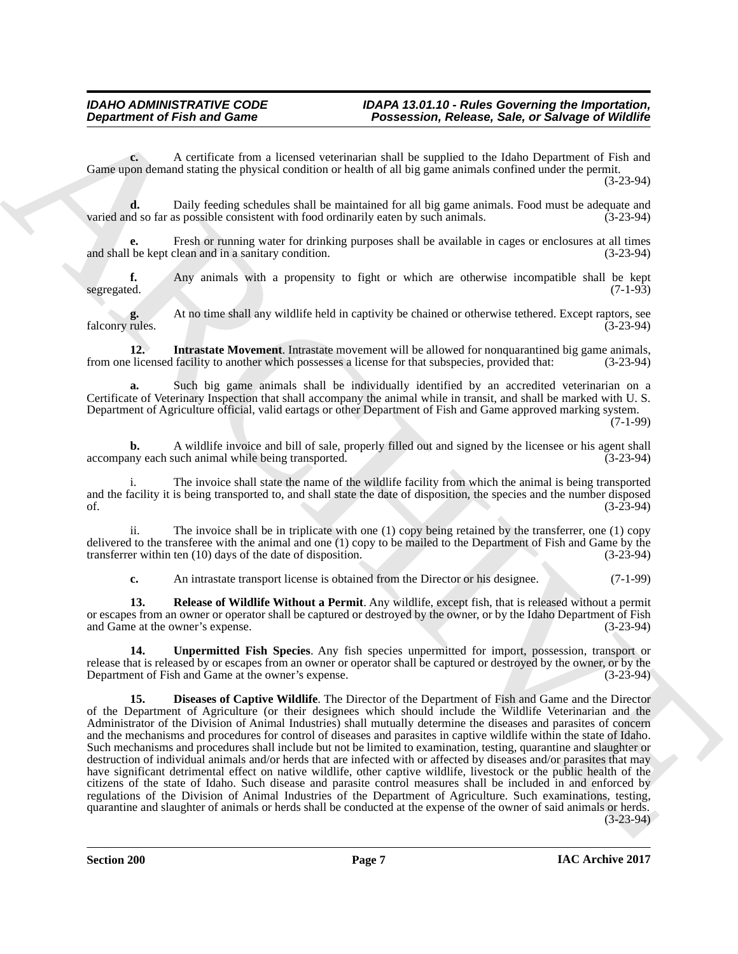**c.** A certificate from a licensed veterinarian shall be supplied to the Idaho Department of Fish and Game upon demand stating the physical condition or health of all big game animals confined under the permit.

(3-23-94)

**d.** Daily feeding schedules shall be maintained for all big game animals. Food must be adequate and so far as possible consistent with food ordinarily eaten by such animals. (3-23-94) varied and so far as possible consistent with food ordinarily eaten by such animals.

**e.** Fresh or running water for drinking purposes shall be available in cages or enclosures at all times and shall be kept clean and in a sanitary condition. (3-23-94)

**f.** Any animals with a propensity to fight or which are otherwise incompatible shall be kept segregated. (7-1-93) segregated. (7-1-93)

**g.** At no time shall any wildlife held in captivity be chained or otherwise tethered. Except raptors, see rules. (3-23-94) falconry rules.

<span id="page-6-1"></span>**12. Intrastate Movement**. Intrastate movement will be allowed for nonquarantined big game animals, from one licensed facility to another which possesses a license for that subspecies, provided that: (3-23-94)

**a.** Such big game animals shall be individually identified by an accredited veterinarian on a Certificate of Veterinary Inspection that shall accompany the animal while in transit, and shall be marked with U. S. Department of Agriculture official, valid eartags or other Department of Fish and Game approved marking system.

 $(7-1-99)$ 

**b.** A wildlife invoice and bill of sale, properly filled out and signed by the licensee or his agent shall iny each such animal while being transported. (3-23-94) accompany each such animal while being transported.

The invoice shall state the name of the wildlife facility from which the animal is being transported and the facility it is being transported to, and shall state the date of disposition, the species and the number disposed of. (3-23-94) of.  $(3-23-94)$ 

ii. The invoice shall be in triplicate with one (1) copy being retained by the transferrer, one (1) copy delivered to the transferee with the animal and one (1) copy to be mailed to the Department of Fish and Game by the transferrer within ten (10) days of the date of disposition. (3-23-94) transferrer within ten  $(10)$  days of the date of disposition.

<span id="page-6-3"></span><span id="page-6-2"></span>**c.** An intrastate transport license is obtained from the Director or his designee. (7-1-99)

**13. Release of Wildlife Without a Permit**. Any wildlife, except fish, that is released without a permit or escapes from an owner or operator shall be captured or destroyed by the owner, or by the Idaho Department of Fish and Game at the owner's expense. (3-23-94)

<span id="page-6-0"></span>**14. Unpermitted Fish Species**. Any fish species unpermitted for import, possession, transport or release that is released by or escapes from an owner or operator shall be captured or destroyed by the owner, or by the Department of Fish and Game at the owner's expense. (3-23-94) Department of Fish and Game at the owner's expense.

**Department of Frain and Game "Fourissession, Release Soles or Subger of Wildhife<br>
Architectural control in the control internal control in the supplication of the subset of Subger of Wildhife<br>
Convey and Architectural co 15. Diseases of Captive Wildlife**. The Director of the Department of Fish and Game and the Director of the Department of Agriculture (or their designees which should include the Wildlife Veterinarian and the Administrator of the Division of Animal Industries) shall mutually determine the diseases and parasites of concern and the mechanisms and procedures for control of diseases and parasites in captive wildlife within the state of Idaho. Such mechanisms and procedures shall include but not be limited to examination, testing, quarantine and slaughter or destruction of individual animals and/or herds that are infected with or affected by diseases and/or parasites that may have significant detrimental effect on native wildlife, other captive wildlife, livestock or the public health of the citizens of the state of Idaho. Such disease and parasite control measures shall be included in and enforced by regulations of the Division of Animal Industries of the Department of Agriculture. Such examinations, testing, quarantine and slaughter of animals or herds shall be conducted at the expense of the owner of said animals or herds. (3-23-94)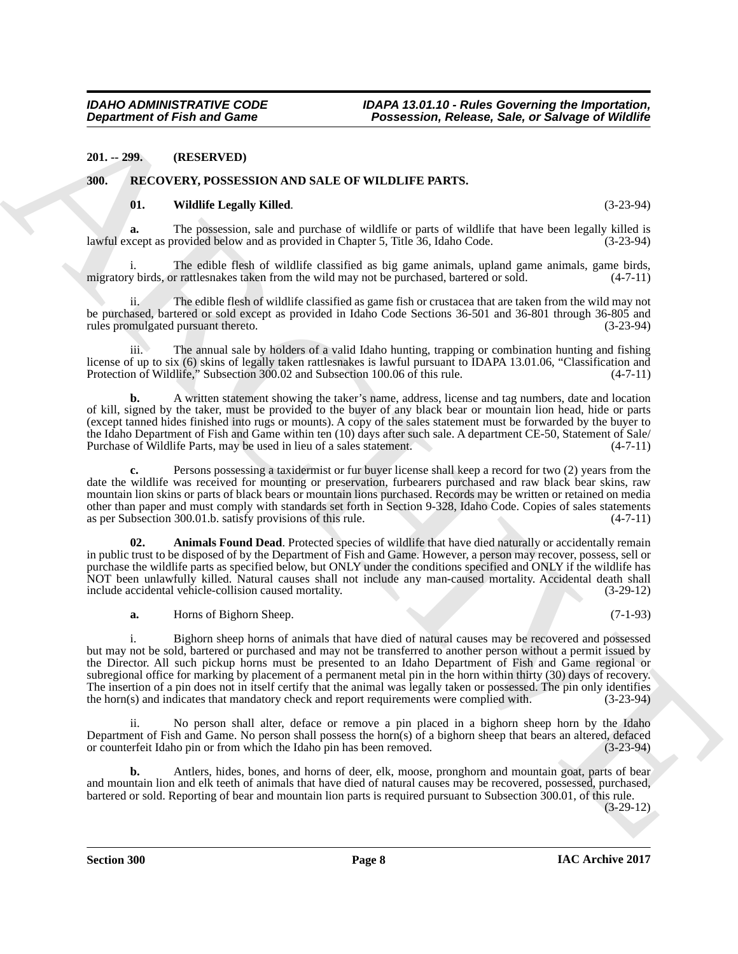#### <span id="page-7-0"></span>**201. -- 299. (RESERVED)**

#### <span id="page-7-1"></span>**300. RECOVERY, POSSESSION AND SALE OF WILDLIFE PARTS.**

#### <span id="page-7-4"></span><span id="page-7-2"></span>**01. Wildlife Legally Killed**. (3-23-94)

**a.** The possession, sale and purchase of wildlife or parts of wildlife that have been legally killed is lawful except as provided below and as provided in Chapter 5, Title 36, Idaho Code. (3-23-94)

i. The edible flesh of wildlife classified as big game animals, upland game animals, game birds, y birds, or rattlesnakes taken from the wild may not be purchased, bartered or sold.  $(4-7-11)$ migratory birds, or rattlesnakes taken from the wild may not be purchased, bartered or sold.

The edible flesh of wildlife classified as game fish or crustacea that are taken from the wild may not be purchased, bartered or sold except as provided in Idaho Code Sections 36-501 and 36-801 through 36-805 and rules promulgated pursuant thereto. (3-23-94)

iii. The annual sale by holders of a valid Idaho hunting, trapping or combination hunting and fishing license of up to six (6) skins of legally taken rattlesnakes is lawful pursuant to IDAPA 13.01.06, "Classification and Protection of Wildlife," Subsection 300.02 and Subsection 100.06 of this rule. (4-7-11)

**b.** A written statement showing the taker's name, address, license and tag numbers, date and location of kill, signed by the taker, must be provided to the buyer of any black bear or mountain lion head, hide or parts (except tanned hides finished into rugs or mounts). A copy of the sales statement must be forwarded by the buyer to the Idaho Department of Fish and Game within ten (10) days after such sale. A department CE-50, Statement of Sale/<br>Purchase of Wildlife Parts, may be used in lieu of a sales statement. Purchase of Wildlife Parts, may be used in lieu of a sales statement.

**c.** Persons possessing a taxidermist or fur buyer license shall keep a record for two (2) years from the date the wildlife was received for mounting or preservation, furbearers purchased and raw black bear skins, raw mountain lion skins or parts of black bears or mountain lions purchased. Records may be written or retained on media other than paper and must comply with standards set forth in Section 9-328, Idaho Code. Copies of sales statements as per Subsection 300.01.b. satisfy provisions of this rule. (4-7-11)

<span id="page-7-3"></span>**02.** Animals Found Dead. Protected species of wildlife that have died naturally or accidentally remain in public trust to be disposed of by the Department of Fish and Game. However, a person may recover, possess, sell or purchase the wildlife parts as specified below, but ONLY under the conditions specified and ONLY if the wildlife has NOT been unlawfully killed. Natural causes shall not include any man-caused mortality. Accidental death shall include accidental vehicle-collision caused mortality. (3-29-12)

**a.** Horns of Bighorn Sheep. (7-1-93)

**Department of Fish and Game<br>
2011 - 229. CONSERVANT CONSERVANT (PRODUCT) CONSERVANT (PRODUCT) CONSERVANT (PRODUCT) CONSERVANT (PRODUCT) CONSERVANT (PRODUCT) CONSERVANT (PRODUCT) CONSERVANT (PRODUCT) CONSERVANT (PRODUCT)** i. Bighorn sheep horns of animals that have died of natural causes may be recovered and possessed but may not be sold, bartered or purchased and may not be transferred to another person without a permit issued by the Director. All such pickup horns must be presented to an Idaho Department of Fish and Game regional or subregional office for marking by placement of a permanent metal pin in the horn within thirty (30) days of recovery. The insertion of a pin does not in itself certify that the animal was legally taken or possessed. The pin only identifies the horn(s) and indicates that mandatory check and report requirements were complied with. (3-23-94)

ii. No person shall alter, deface or remove a pin placed in a bighorn sheep horn by the Idaho Department of Fish and Game. No person shall possess the horn(s) of a bighorn sheep that bears an altered, defaced or counterfeit Idaho pin or from which the Idaho pin has been removed.  $(3-23-94)$ or counterfeit Idaho pin or from which the Idaho pin has been removed.

**b.** Antlers, hides, bones, and horns of deer, elk, moose, pronghorn and mountain goat, parts of bear and mountain lion and elk teeth of animals that have died of natural causes may be recovered, possessed, purchased, bartered or sold. Reporting of bear and mountain lion parts is required pursuant to Subsection 300.01, of this rule.

(3-29-12)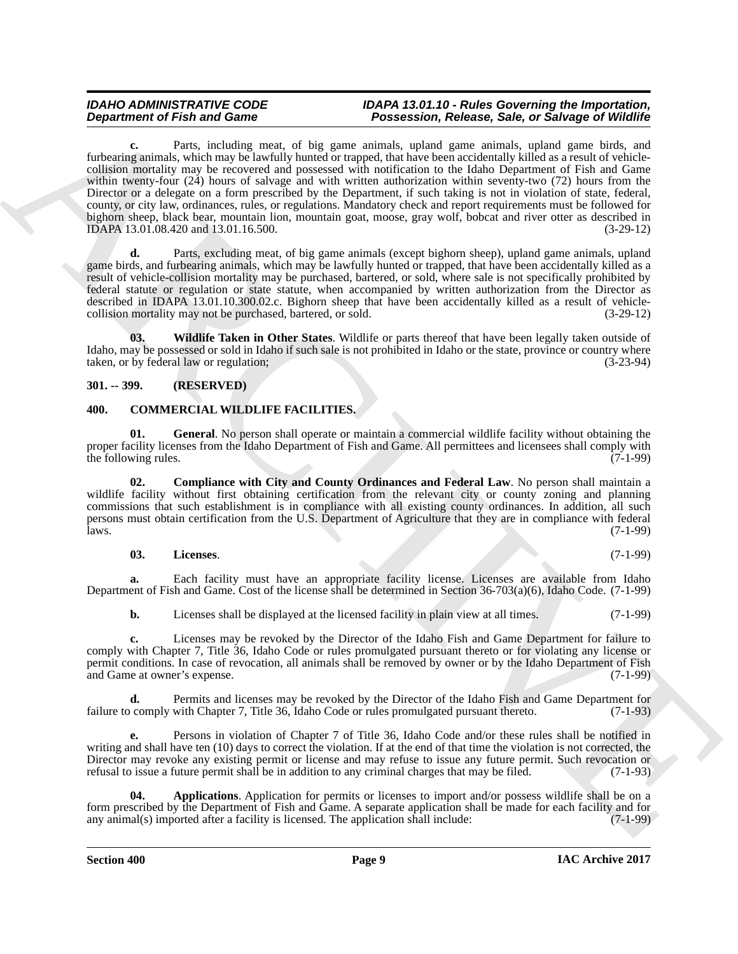**Department of Fish and Some 11 (a) Theoretical Proposition Conservation** (a) **Theoretical Proposition Conservation** (a) **Conservation** (a) **Conservation** (a) **Conservation** (a) **Conservation** (a) **Conservation** (a) **Co c.** Parts, including meat, of big game animals, upland game animals, upland game birds, and furbearing animals, which may be lawfully hunted or trapped, that have been accidentally killed as a result of vehiclecollision mortality may be recovered and possessed with notification to the Idaho Department of Fish and Game within twenty-four (24) hours of salvage and with written authorization within seventy-two (72) hours from the Director or a delegate on a form prescribed by the Department, if such taking is not in violation of state, federal, county, or city law, ordinances, rules, or regulations. Mandatory check and report requirements must be followed for bighorn sheep, black bear, mountain lion, mountain goat, moose, gray wolf, bobcat and river otter as described in IDAPA 13.01.08.420 and 13.01.16.500. (3-29-12)

**d.** Parts, excluding meat, of big game animals (except bighorn sheep), upland game animals, upland game birds, and furbearing animals, which may be lawfully hunted or trapped, that have been accidentally killed as a result of vehicle-collision mortality may be purchased, bartered, or sold, where sale is not specifically prohibited by federal statute or regulation or state statute, when accompanied by written authorization from the Director as described in IDAPA 13.01.10.300.02.c. Bighorn sheep that have been accidentally killed as a result of vehiclecollision mortality may not be purchased, bartered, or sold. (3-29-12)

<span id="page-8-7"></span>**03. Wildlife Taken in Other States**. Wildlife or parts thereof that have been legally taken outside of Idaho, may be possessed or sold in Idaho if such sale is not prohibited in Idaho or the state, province or country where taken, or by federal law or regulation; (3-23-94)

### <span id="page-8-0"></span>**301. -- 399. (RESERVED)**

#### <span id="page-8-5"></span><span id="page-8-2"></span><span id="page-8-1"></span>**400. COMMERCIAL WILDLIFE FACILITIES.**

**01. General**. No person shall operate or maintain a commercial wildlife facility without obtaining the proper facility licenses from the Idaho Department of Fish and Game. All permittees and licensees shall comply with the following rules. (7-1-99) the following rules.

<span id="page-8-4"></span>**02. Compliance with City and County Ordinances and Federal Law**. No person shall maintain a wildlife facility without first obtaining certification from the relevant city or county zoning and planning commissions that such establishment is in compliance with all existing county ordinances. In addition, all such persons must obtain certification from the U.S. Department of Agriculture that they are in compliance with federal laws. (7-1-99)  $l$ aws.  $(7-1-99)$ 

#### <span id="page-8-6"></span>**03. Licenses**. (7-1-99)

**a.** Each facility must have an appropriate facility license. Licenses are available from Idaho Department of Fish and Game. Cost of the license shall be determined in Section 36-703(a)(6), Idaho Code. (7-1-99)

**b.** Licenses shall be displayed at the licensed facility in plain view at all times. (7-1-99)

**c.** Licenses may be revoked by the Director of the Idaho Fish and Game Department for failure to comply with Chapter 7, Title 36, Idaho Code or rules promulgated pursuant thereto or for violating any license or permit conditions. In case of revocation, all animals shall be removed by owner or by the Idaho Department of Fish and Game at owner's expense. (7-1-99) and Game at owner's expense.

**d.** Permits and licenses may be revoked by the Director of the Idaho Fish and Game Department for failure to comply with Chapter 7, Title 36, Idaho Code or rules promulgated pursuant thereto. (7-1-93)

**e.** Persons in violation of Chapter 7 of Title 36, Idaho Code and/or these rules shall be notified in writing and shall have ten (10) days to correct the violation. If at the end of that time the violation is not corrected, the Director may revoke any existing permit or license and may refuse to issue any future permit. Such revocation or refusal to issue a future permit shall be in addition to any criminal charges that may be filed. (7-1-93) refusal to issue a future permit shall be in addition to any criminal charges that may be filed.

<span id="page-8-3"></span>**04. Applications**. Application for permits or licenses to import and/or possess wildlife shall be on a form prescribed by the Department of Fish and Game. A separate application shall be made for each facility and for any animal(s) imported after a facility is licensed. The application shall include: (7-1-99) any animal $(s)$  imported after a facility is licensed. The application shall include: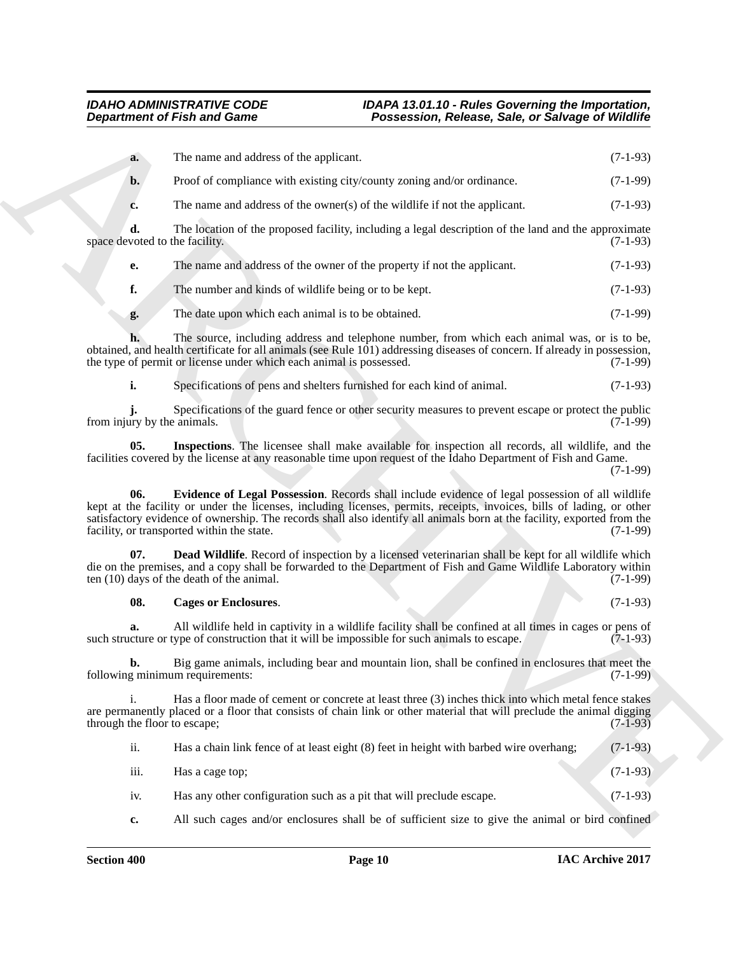|                                      | <b>Department of Fish and Game</b>                                  | Possession, Release, Sale, or Salvage of Wildlife                                                                                                                                                                                                                                                                                                     |            |
|--------------------------------------|---------------------------------------------------------------------|-------------------------------------------------------------------------------------------------------------------------------------------------------------------------------------------------------------------------------------------------------------------------------------------------------------------------------------------------------|------------|
| a.                                   | The name and address of the applicant.                              |                                                                                                                                                                                                                                                                                                                                                       | $(7-1-93)$ |
| $b$                                  |                                                                     | Proof of compliance with existing city/county zoning and/or ordinance.                                                                                                                                                                                                                                                                                | $(7-1-99)$ |
| c.                                   |                                                                     | The name and address of the owner(s) of the wildlife if not the applicant.                                                                                                                                                                                                                                                                            | $(7-1-93)$ |
| d.<br>space devoted to the facility. |                                                                     | The location of the proposed facility, including a legal description of the land and the approximate                                                                                                                                                                                                                                                  | $(7-1-93)$ |
| е.                                   |                                                                     | The name and address of the owner of the property if not the applicant.                                                                                                                                                                                                                                                                               | $(7-1-93)$ |
| f.                                   | The number and kinds of wildlife being or to be kept.               |                                                                                                                                                                                                                                                                                                                                                       | $(7-1-93)$ |
| g.                                   | The date upon which each animal is to be obtained.                  |                                                                                                                                                                                                                                                                                                                                                       | $(7-1-99)$ |
|                                      | the type of permit or license under which each animal is possessed. | The source, including address and telephone number, from which each animal was, or is to be,<br>obtained, and health certificate for all animals (see Rule 101) addressing diseases of concern. If already in possession,                                                                                                                             | $(7-1-99)$ |
| i.                                   |                                                                     | Specifications of pens and shelters furnished for each kind of animal.                                                                                                                                                                                                                                                                                | $(7-1-93)$ |
| from injury by the animals.          |                                                                     | Specifications of the guard fence or other security measures to prevent escape or protect the public                                                                                                                                                                                                                                                  | $(7-1-99)$ |
| 05.                                  |                                                                     | Inspections. The licensee shall make available for inspection all records, all wildlife, and the<br>facilities covered by the license at any reasonable time upon request of the Idaho Department of Fish and Game.                                                                                                                                   | $(7-1-99)$ |
| 06.                                  | facility, or transported within the state.                          | Evidence of Legal Possession. Records shall include evidence of legal possession of all wildlife<br>kept at the facility or under the licenses, including licenses, permits, receipts, invoices, bills of lading, or other<br>satisfactory evidence of ownership. The records shall also identify all animals born at the facility, exported from the | $(7-1-99)$ |
| 07.                                  | ten (10) days of the death of the animal.                           | <b>Dead Wildlife</b> . Record of inspection by a licensed veterinarian shall be kept for all wildlife which<br>die on the premises, and a copy shall be forwarded to the Department of Fish and Game Wildlife Laboratory within                                                                                                                       | $(7-1-99)$ |
| 08.                                  | <b>Cages or Enclosures.</b>                                         |                                                                                                                                                                                                                                                                                                                                                       | $(7-1-93)$ |
| a.                                   |                                                                     | All wildlife held in captivity in a wildlife facility shall be confined at all times in cages or pens of<br>such structure or type of construction that it will be impossible for such animals to escape.                                                                                                                                             | $(7-1-93)$ |
| b.                                   | following minimum requirements:                                     | Big game animals, including bear and mountain lion, shall be confined in enclosures that meet the                                                                                                                                                                                                                                                     | $(7-1-99)$ |
| i.<br>through the floor to escape;   |                                                                     | Has a floor made of cement or concrete at least three (3) inches thick into which metal fence stakes<br>are permanently placed or a floor that consists of chain link or other material that will preclude the animal digging                                                                                                                         | $(7-1-93)$ |
| ii.                                  |                                                                     | Has a chain link fence of at least eight (8) feet in height with barbed wire overhang;                                                                                                                                                                                                                                                                | $(7-1-93)$ |
|                                      | Has a cage top;                                                     |                                                                                                                                                                                                                                                                                                                                                       | $(7-1-93)$ |
| iii.                                 |                                                                     |                                                                                                                                                                                                                                                                                                                                                       |            |
| iv.                                  |                                                                     | Has any other configuration such as a pit that will preclude escape.                                                                                                                                                                                                                                                                                  | $(7-1-93)$ |

### <span id="page-9-3"></span><span id="page-9-2"></span><span id="page-9-1"></span><span id="page-9-0"></span>**08. Cages or Enclosures**. (7-1-93)

| ii. | Has a chain link fence of at least eight (8) feet in height with barbed wire overhang; | $(7-1-93)$ |
|-----|----------------------------------------------------------------------------------------|------------|
|-----|----------------------------------------------------------------------------------------|------------|

- iii. Has a cage top;  $(7-1-93)$
- iv. Has any other configuration such as a pit that will preclude escape. (7-1-93)
- **c.** All such cages and/or enclosures shall be of sufficient size to give the animal or bird confined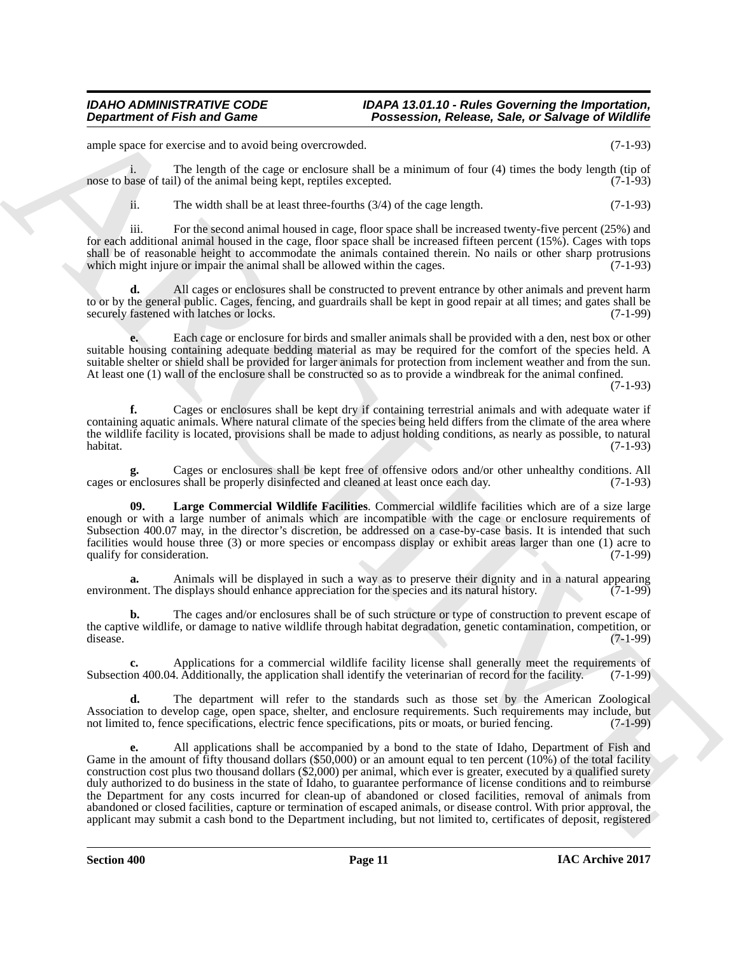ample space for exercise and to avoid being overcrowded. (7-1-93)

i. The length of the cage or enclosure shall be a minimum of four (4) times the body length (tip of nose to base of tail) of the animal being kept, reptiles excepted. (7-1-93)

ii. The width shall be at least three-fourths  $(3/4)$  of the cage length.  $(7-1-93)$ 

iii. For the second animal housed in cage, floor space shall be increased twenty-five percent (25%) and for each additional animal housed in the cage, floor space shall be increased fifteen percent (15%). Cages with tops shall be of reasonable height to accommodate the animals contained therein. No nails or other sharp protrusions which might injure or impair the animal shall be allowed within the cages. (7-1-93) which might injure or impair the animal shall be allowed within the cages.

**d.** All cages or enclosures shall be constructed to prevent entrance by other animals and prevent harm to or by the general public. Cages, fencing, and guardrails shall be kept in good repair at all times; and gates shall be securely fastened with latches or locks. (7-1-99)

**e.** Each cage or enclosure for birds and smaller animals shall be provided with a den, nest box or other suitable housing containing adequate bedding material as may be required for the comfort of the species held. A suitable shelter or shield shall be provided for larger animals for protection from inclement weather and from the sun. At least one (1) wall of the enclosure shall be constructed so as to provide a windbreak for the animal confined.

(7-1-93)

**f.** Cages or enclosures shall be kept dry if containing terrestrial animals and with adequate water if containing aquatic animals. Where natural climate of the species being held differs from the climate of the area where the wildlife facility is located, provisions shall be made to adjust holding conditions, as nearly as possible, to natural habitat. (7-1-93) habitat. (7-1-93)

**g.** Cages or enclosures shall be kept free of offensive odors and/or other unhealthy conditions. All enclosures shall be properly disinfected and cleaned at least once each day. (7-1-93) cages or enclosures shall be properly disinfected and cleaned at least once each day.

<span id="page-10-0"></span>**09. Large Commercial Wildlife Facilities**. Commercial wildlife facilities which are of a size large enough or with a large number of animals which are incompatible with the cage or enclosure requirements of Subsection 400.07 may, in the director's discretion, be addressed on a case-by-case basis. It is intended that such facilities would house three (3) or more species or encompass display or exhibit areas larger than one (1) acre to qualify for consideration. (7-1-99) qualify for consideration.

**a.** Animals will be displayed in such a way as to preserve their dignity and in a natural appearing nent. The displays should enhance appreciation for the species and its natural history. environment. The displays should enhance appreciation for the species and its natural history.

**b.** The cages and/or enclosures shall be of such structure or type of construction to prevent escape of the captive wildlife, or damage to native wildlife through habitat degradation, genetic contamination, competition, or disease. disease. (7-1-99)

**c.** Applications for a commercial wildlife facility license shall generally meet the requirements of on 400.04. Additionally, the application shall identify the veterinarian of record for the facility. (7-1-99) Subsection 400.04. Additionally, the application shall identify the veterinarian of record for the facility.

**d.** The department will refer to the standards such as those set by the American Zoological Association to develop cage, open space, shelter, and enclosure requirements. Such requirements may include, but not limited to, fence specifications, electric fence specifications, pits or moats, or buried fencing. (7-1-9 not limited to, fence specifications, electric fence specifications, pits or moats, or buried fencing.

**Department of Fish and Game<br>
any the state of the state of the state of the state of the state of the state of the state of the state of the state of the state of the state of the state of the state of the state of the s e.** All applications shall be accompanied by a bond to the state of Idaho, Department of Fish and Game in the amount of fifty thousand dollars (\$50,000) or an amount equal to ten percent (10%) of the total facility construction cost plus two thousand dollars (\$2,000) per animal, which ever is greater, executed by a qualified surety duly authorized to do business in the state of Idaho, to guarantee performance of license conditions and to reimburse the Department for any costs incurred for clean-up of abandoned or closed facilities, removal of animals from abandoned or closed facilities, capture or termination of escaped animals, or disease control. With prior approval, the applicant may submit a cash bond to the Department including, but not limited to, certificates of deposit, registered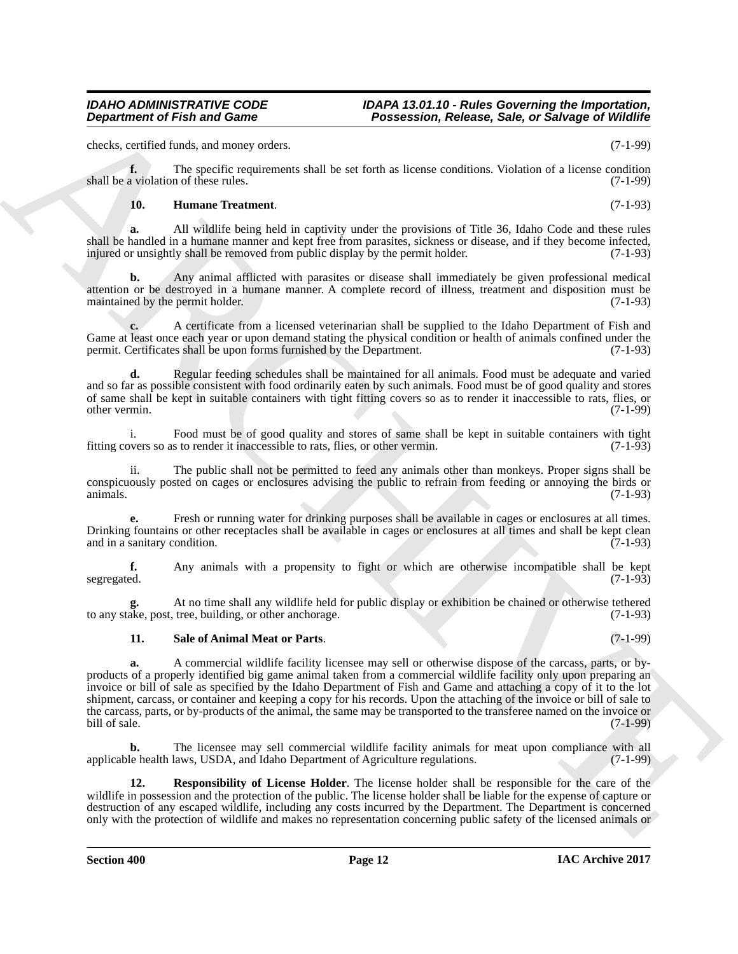## *IDAHO ADMINISTRATIVE CODE IDAPA 13.01.10 - Rules Governing the Importation,*

checks, certified funds, and money orders. (7-1-99)

**f.** The specific requirements shall be set forth as license conditions. Violation of a license condition shall be a violation of these rules. (7-1-99)

#### <span id="page-11-0"></span>**10. Humane Treatment**. (7-1-93)

**a.** All wildlife being held in captivity under the provisions of Title 36, Idaho Code and these rules shall be handled in a humane manner and kept free from parasites, sickness or disease, and if they become infected, injured or unsightly shall be removed from public display by the permit holder. (7-1-93)

**b.** Any animal afflicted with parasites or disease shall immediately be given professional medical attention or be destroyed in a humane manner. A complete record of illness, treatment and disposition must be maintained by the permit holder. (7-1-93)

**c.** A certificate from a licensed veterinarian shall be supplied to the Idaho Department of Fish and Game at least once each year or upon demand stating the physical condition or health of animals confined under the permit. Certificates shall be upon forms furnished by the Department. (7-1-93) permit. Certificates shall be upon forms furnished by the Department.

**d.** Regular feeding schedules shall be maintained for all animals. Food must be adequate and varied and so far as possible consistent with food ordinarily eaten by such animals. Food must be of good quality and stores of same shall be kept in suitable containers with tight fitting covers so as to render it inaccessible to rats, flies, or other vermin. other vermin. (7-1-99)

i. Food must be of good quality and stores of same shall be kept in suitable containers with tight overs so as to render it inaccessible to rats, flies, or other vermin. (7-1-93) fitting covers so as to render it inaccessible to rats, flies, or other vermin.

ii. The public shall not be permitted to feed any animals other than monkeys. Proper signs shall be conspicuously posted on cages or enclosures advising the public to refrain from feeding or annoying the birds or animals. animals.  $(7-1-93)$ 

**e.** Fresh or running water for drinking purposes shall be available in cages or enclosures at all times. Drinking fountains or other receptacles shall be available in cages or enclosures at all times and shall be kept clean and in a sanitary condition. (7-1-93)

**f.** Any animals with a propensity to fight or which are otherwise incompatible shall be kept segregated. (7-1-93) segregated. (7-1-93)

At no time shall any wildlife held for public display or exhibition be chained or otherwise tethered<br>tree, building, or other anchorage. (7-1-93) to any stake, post, tree, building, or other anchorage.

#### <span id="page-11-2"></span>**11. Sale of Animal Meat or Parts**. (7-1-99)

**Department of Fish and Game<br>
Letters and Same**  $\sim$  **Processes, Sale, or Showger Of Wildhife<br>
Letters and the numerical setting in the spectrum of the set of the spectrum of the spectrum of the spectrum of<br>
and F-spectrum a.** A commercial wildlife facility licensee may sell or otherwise dispose of the carcass, parts, or byproducts of a properly identified big game animal taken from a commercial wildlife facility only upon preparing an invoice or bill of sale as specified by the Idaho Department of Fish and Game and attaching a copy of it to the lot shipment, carcass, or container and keeping a copy for his records. Upon the attaching of the invoice or bill of sale to the carcass, parts, or by-products of the animal, the same may be transported to the transferee named on the invoice or bill of sale. (7-1-99) bill of sale. (7-1-99)

**b.** The licensee may sell commercial wildlife facility animals for meat upon compliance with all applicable health laws, USDA, and Idaho Department of Agriculture regulations. (7-1-99)

<span id="page-11-1"></span>**12. Responsibility of License Holder**. The license holder shall be responsible for the care of the wildlife in possession and the protection of the public. The license holder shall be liable for the expense of capture or destruction of any escaped wildlife, including any costs incurred by the Department. The Department is concerned only with the protection of wildlife and makes no representation concerning public safety of the licensed animals or

*Department of Fish and Game Possession, Release, Sale, or Salvage of Wildlife*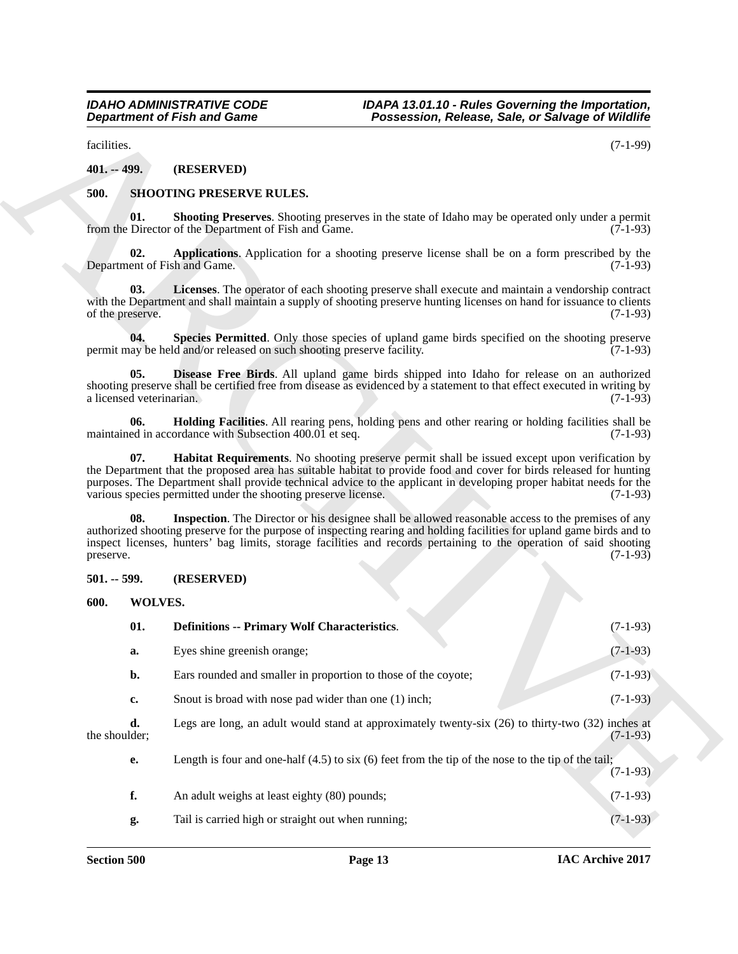### <span id="page-12-12"></span><span id="page-12-11"></span><span id="page-12-10"></span><span id="page-12-6"></span><span id="page-12-5"></span><span id="page-12-4"></span><span id="page-12-1"></span><span id="page-12-0"></span>**500. SHOOTING PRESERVE RULES.**

#### <span id="page-12-14"></span><span id="page-12-13"></span><span id="page-12-9"></span><span id="page-12-8"></span><span id="page-12-7"></span><span id="page-12-3"></span><span id="page-12-2"></span>**501. -- 599. (RESERVED)**

|                                     | <b>Department of Fish and Game</b>                                     | Possession, Release, Sale, or Salvage of Wildlife                                                                                                                                                                                                                                                                                                          |            |
|-------------------------------------|------------------------------------------------------------------------|------------------------------------------------------------------------------------------------------------------------------------------------------------------------------------------------------------------------------------------------------------------------------------------------------------------------------------------------------------|------------|
| facilities.                         |                                                                        |                                                                                                                                                                                                                                                                                                                                                            | $(7-1-99)$ |
| $401. -499.$                        | (RESERVED)                                                             |                                                                                                                                                                                                                                                                                                                                                            |            |
| 500.                                | <b>SHOOTING PRESERVE RULES.</b>                                        |                                                                                                                                                                                                                                                                                                                                                            |            |
| 01.                                 | from the Director of the Department of Fish and Game.                  | <b>Shooting Preserves.</b> Shooting preserves in the state of Idaho may be operated only under a permit                                                                                                                                                                                                                                                    | $(7-1-93)$ |
| 02.<br>Department of Fish and Game. |                                                                        | Applications. Application for a shooting preserve license shall be on a form prescribed by the                                                                                                                                                                                                                                                             | $(7-1-93)$ |
| 03.<br>of the preserve.             |                                                                        | Licenses. The operator of each shooting preserve shall execute and maintain a vendorship contract<br>with the Department and shall maintain a supply of shooting preserve hunting licenses on hand for issuance to clients                                                                                                                                 | $(7-1-93)$ |
| 04.                                 | permit may be held and/or released on such shooting preserve facility. | Species Permitted. Only those species of upland game birds specified on the shooting preserve                                                                                                                                                                                                                                                              | $(7-1-93)$ |
| 05.<br>a licensed veterinarian.     |                                                                        | Disease Free Birds. All upland game birds shipped into Idaho for release on an authorized<br>shooting preserve shall be certified free from disease as evidenced by a statement to that effect executed in writing by                                                                                                                                      | $(7-1-93)$ |
| 06.                                 | maintained in accordance with Subsection 400.01 et seq.                | <b>Holding Facilities.</b> All rearing pens, holding pens and other rearing or holding facilities shall be                                                                                                                                                                                                                                                 | $(7-1-93)$ |
| 07.                                 | various species permitted under the shooting preserve license.         | Habitat Requirements. No shooting preserve permit shall be issued except upon verification by<br>the Department that the proposed area has suitable habitat to provide food and cover for birds released for hunting<br>purposes. The Department shall provide technical advice to the applicant in developing proper habitat needs for the                | $(7-1-93)$ |
| 08.<br>preserve.                    |                                                                        | <b>Inspection</b> . The Director or his designee shall be allowed reasonable access to the premises of any<br>authorized shooting preserve for the purpose of inspecting rearing and holding facilities for upland game birds and to<br>inspect licenses, hunters' bag limits, storage facilities and records pertaining to the operation of said shooting | $(7-1-93)$ |
| $501. - 599.$                       | (RESERVED)                                                             |                                                                                                                                                                                                                                                                                                                                                            |            |
| WOLVES.<br>600.                     |                                                                        |                                                                                                                                                                                                                                                                                                                                                            |            |
| 01.                                 | <b>Definitions -- Primary Wolf Characteristics.</b>                    |                                                                                                                                                                                                                                                                                                                                                            | $(7-1-93)$ |
| a.                                  | Eyes shine greenish orange;                                            |                                                                                                                                                                                                                                                                                                                                                            | $(7-1-93)$ |
| b.                                  | Ears rounded and smaller in proportion to those of the coyote;         |                                                                                                                                                                                                                                                                                                                                                            | $(7-1-93)$ |
| c.                                  | Snout is broad with nose pad wider than one (1) inch;                  |                                                                                                                                                                                                                                                                                                                                                            | $(7-1-93)$ |
| d.<br>the shoulder;                 |                                                                        | Legs are long, an adult would stand at approximately twenty-six (26) to thirty-two (32) inches at                                                                                                                                                                                                                                                          | $(7-1-93)$ |
| e.                                  |                                                                        | Length is four and one-half $(4.5)$ to six $(6)$ feet from the tip of the nose to the tip of the tail;                                                                                                                                                                                                                                                     | $(7-1-93)$ |
|                                     |                                                                        |                                                                                                                                                                                                                                                                                                                                                            |            |
| f.                                  | An adult weighs at least eighty (80) pounds;                           |                                                                                                                                                                                                                                                                                                                                                            | $(7-1-93)$ |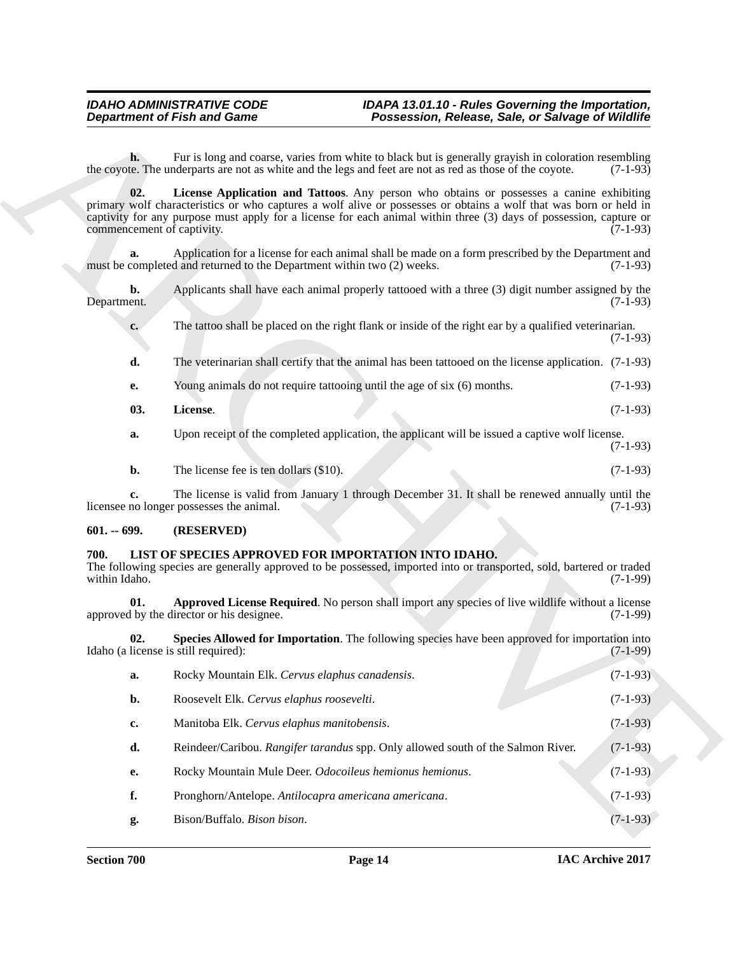- <span id="page-13-5"></span>**e.** Young animals do not require tattooing until the age of six (6) months. (7-1-93)
- **03. License**. (7-1-93)

### <span id="page-13-0"></span>**601. -- 699. (RESERVED)**

### <span id="page-13-4"></span><span id="page-13-3"></span><span id="page-13-2"></span><span id="page-13-1"></span>**700. LIST OF SPECIES APPROVED FOR IMPORTATION INTO IDAHO.**

<span id="page-13-6"></span>

|                       |           | <b>Department of Fish and Game</b>                                                                                                                                                                                                                                                                                                                                | Possession, Release, Sale, or Salvage of Wildlife |            |
|-----------------------|-----------|-------------------------------------------------------------------------------------------------------------------------------------------------------------------------------------------------------------------------------------------------------------------------------------------------------------------------------------------------------------------|---------------------------------------------------|------------|
|                       | h.        | Fur is long and coarse, varies from white to black but is generally grayish in coloration resembling<br>the coyote. The underparts are not as white and the legs and feet are not as red as those of the coyote.                                                                                                                                                  |                                                   | $(7-1-93)$ |
|                       | 02.       | License Application and Tattoos. Any person who obtains or possesses a canine exhibiting<br>primary wolf characteristics or who captures a wolf alive or possesses or obtains a wolf that was born or held in<br>captivity for any purpose must apply for a license for each animal within three (3) days of possession, capture or<br>commencement of captivity. |                                                   | $(7-1-93)$ |
|                       | a.        | Application for a license for each animal shall be made on a form prescribed by the Department and<br>must be completed and returned to the Department within two (2) weeks.                                                                                                                                                                                      |                                                   | $(7-1-93)$ |
| Department.           | b.        | Applicants shall have each animal properly tattooed with a three (3) digit number assigned by the                                                                                                                                                                                                                                                                 |                                                   | $(7-1-93)$ |
|                       | c.        | The tattoo shall be placed on the right flank or inside of the right ear by a qualified veterinarian.                                                                                                                                                                                                                                                             |                                                   | $(7-1-93)$ |
|                       | d.        | The veterinarian shall certify that the animal has been tattooed on the license application. (7-1-93)                                                                                                                                                                                                                                                             |                                                   |            |
|                       | е.        | Young animals do not require tattooing until the age of six (6) months.                                                                                                                                                                                                                                                                                           |                                                   | $(7-1-93)$ |
|                       | 03.       | License.                                                                                                                                                                                                                                                                                                                                                          |                                                   | $(7-1-93)$ |
|                       | a.        | Upon receipt of the completed application, the applicant will be issued a captive wolf license.                                                                                                                                                                                                                                                                   |                                                   | $(7-1-93)$ |
|                       | b.        | The license fee is ten dollars $(\$10)$ .                                                                                                                                                                                                                                                                                                                         |                                                   | $(7-1-93)$ |
|                       | c.        | The license is valid from January 1 through December 31. It shall be renewed annually until the<br>licensee no longer possesses the animal.                                                                                                                                                                                                                       |                                                   | $(7-1-93)$ |
| $601. - 699.$         |           | (RESERVED)                                                                                                                                                                                                                                                                                                                                                        |                                                   |            |
| 700.<br>within Idaho. |           | LIST OF SPECIES APPROVED FOR IMPORTATION INTO IDAHO.<br>The following species are generally approved to be possessed, imported into or transported, sold, bartered or traded                                                                                                                                                                                      |                                                   | $(7-1-99)$ |
|                       | 01.       | Approved License Required. No person shall import any species of live wildlife without a license<br>approved by the director or his designee.                                                                                                                                                                                                                     |                                                   | $(7-1-99)$ |
|                       | 02.       | Species Allowed for Importation. The following species have been approved for importation into<br>Idaho (a license is still required):                                                                                                                                                                                                                            |                                                   | $(7-1-99)$ |
|                       | a.        | Rocky Mountain Elk. Cervus elaphus canadensis.                                                                                                                                                                                                                                                                                                                    |                                                   | $(7-1-93)$ |
|                       | b.        | Roosevelt Elk. Cervus elaphus roosevelti.                                                                                                                                                                                                                                                                                                                         |                                                   | $(7-1-93)$ |
|                       | c.        | Manitoba Elk. Cervus elaphus manitobensis.                                                                                                                                                                                                                                                                                                                        |                                                   | $(7-1-93)$ |
|                       | d.        | Reindeer/Caribou. Rangifer tarandus spp. Only allowed south of the Salmon River.                                                                                                                                                                                                                                                                                  |                                                   | $(7-1-93)$ |
|                       | <b>e.</b> | Rocky Mountain Mule Deer. Odocoileus hemionus hemionus.                                                                                                                                                                                                                                                                                                           |                                                   | $(7-1-93)$ |
|                       |           |                                                                                                                                                                                                                                                                                                                                                                   |                                                   |            |
|                       | f.        | Pronghorn/Antelope. Antilocapra americana americana.                                                                                                                                                                                                                                                                                                              |                                                   | $(7-1-93)$ |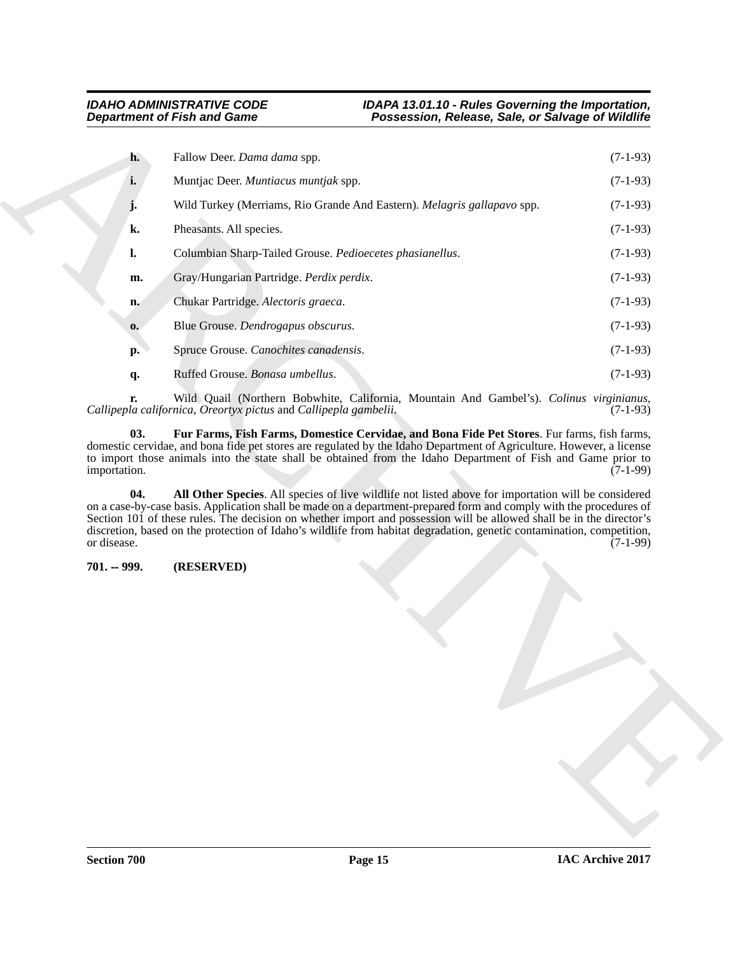| h.<br>i.<br>k.<br>$\mathbf{l}$ .<br>m. | Fallow Deer. Dama dama spp.<br>Muntjac Deer. Muntiacus muntjak spp.<br>Wild Turkey (Merriams, Rio Grande And Eastern). Melagris gallapavo spp.<br>Pheasants. All species.                                                                                                                                                                                                                                                                                                                                                                                                         | $(7-1-93)$<br>$(7-1-93)$<br>$(7-1-93)$                                                                            |
|----------------------------------------|-----------------------------------------------------------------------------------------------------------------------------------------------------------------------------------------------------------------------------------------------------------------------------------------------------------------------------------------------------------------------------------------------------------------------------------------------------------------------------------------------------------------------------------------------------------------------------------|-------------------------------------------------------------------------------------------------------------------|
|                                        |                                                                                                                                                                                                                                                                                                                                                                                                                                                                                                                                                                                   |                                                                                                                   |
|                                        |                                                                                                                                                                                                                                                                                                                                                                                                                                                                                                                                                                                   |                                                                                                                   |
|                                        |                                                                                                                                                                                                                                                                                                                                                                                                                                                                                                                                                                                   |                                                                                                                   |
|                                        |                                                                                                                                                                                                                                                                                                                                                                                                                                                                                                                                                                                   | $(7-1-93)$                                                                                                        |
|                                        | Columbian Sharp-Tailed Grouse. Pedioecetes phasianellus.                                                                                                                                                                                                                                                                                                                                                                                                                                                                                                                          | $(7-1-93)$                                                                                                        |
|                                        | Gray/Hungarian Partridge. Perdix perdix.                                                                                                                                                                                                                                                                                                                                                                                                                                                                                                                                          | $(7-1-93)$                                                                                                        |
| n.                                     | Chukar Partridge. Alectoris graeca.                                                                                                                                                                                                                                                                                                                                                                                                                                                                                                                                               | $(7-1-93)$                                                                                                        |
| 0.                                     | Blue Grouse. Dendrogapus obscurus.                                                                                                                                                                                                                                                                                                                                                                                                                                                                                                                                                | $(7-1-93)$                                                                                                        |
| <b>p.</b>                              | Spruce Grouse. Canochites canadensis.                                                                                                                                                                                                                                                                                                                                                                                                                                                                                                                                             | $(7-1-93)$                                                                                                        |
| q.                                     | Ruffed Grouse. Bonasa umbellus.                                                                                                                                                                                                                                                                                                                                                                                                                                                                                                                                                   | $(7-1-93)$                                                                                                        |
| r.                                     | Callipepla californica, Oreortyx pictus and Callipepla gambelii.                                                                                                                                                                                                                                                                                                                                                                                                                                                                                                                  | Wild Quail (Northern Bobwhite, California, Mountain And Gambel's). Colinus virginianus,<br>$(7-1-93)$             |
| 03.<br>importation.<br>04.             | Fur Farms, Fish Farms, Domestice Cervidae, and Bona Fide Pet Stores. Fur farms, fish farms,<br>domestic cervidae, and bona fide pet stores are regulated by the Idaho Department of Agriculture. However, a license<br>to import those animals into the state shall be obtained from the Idaho Department of Fish and Game prior to<br>on a case-by-case basis. Application shall be made on a department-prepared form and comply with the procedures of<br>Section 101 of these rules. The decision on whether import and possession will be allowed shall be in the director's | $(7-1-99)$<br>All Other Species. All species of live wildlife not listed above for importation will be considered |
| or disease.                            | discretion, based on the protection of Idaho's wildlife from habitat degradation, genetic contamination, competition,                                                                                                                                                                                                                                                                                                                                                                                                                                                             | $(7-1-99)$                                                                                                        |
| $701. - 999.$                          | (RESERVED)                                                                                                                                                                                                                                                                                                                                                                                                                                                                                                                                                                        |                                                                                                                   |
|                                        |                                                                                                                                                                                                                                                                                                                                                                                                                                                                                                                                                                                   |                                                                                                                   |
|                                        |                                                                                                                                                                                                                                                                                                                                                                                                                                                                                                                                                                                   |                                                                                                                   |

### <span id="page-14-2"></span><span id="page-14-1"></span><span id="page-14-0"></span>**701. -- 999. (RESERVED)**